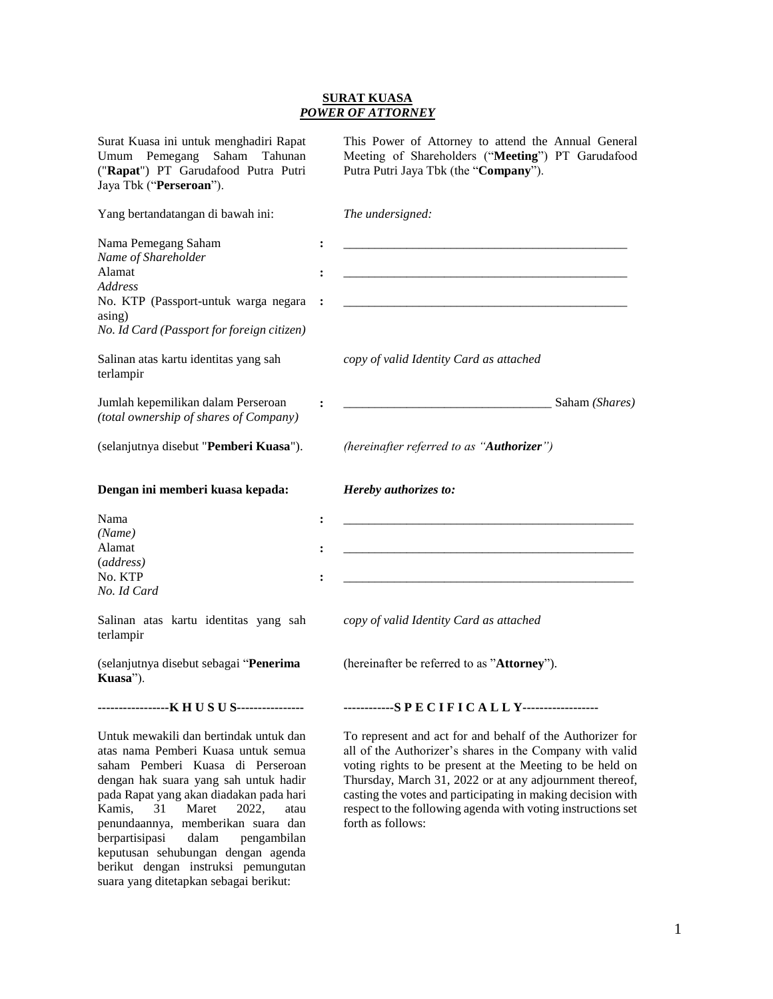## **SURAT KUASA** *POWER OF ATTORNEY*

| Surat Kuasa ini untuk menghadiri Rapat<br>Umum Pemegang Saham Tahunan<br>("Rapat") PT Garudafood Putra Putri<br>Jaya Tbk ("Perseroan").                                                                                                                                                                                                                            |                                        | This Power of Attorney to attend the Annual General<br>Meeting of Shareholders ("Meeting") PT Garudafood<br>Putra Putri Jaya Tbk (the "Company").                                                                                                                                                                                                                                                |
|--------------------------------------------------------------------------------------------------------------------------------------------------------------------------------------------------------------------------------------------------------------------------------------------------------------------------------------------------------------------|----------------------------------------|--------------------------------------------------------------------------------------------------------------------------------------------------------------------------------------------------------------------------------------------------------------------------------------------------------------------------------------------------------------------------------------------------|
| Yang bertandatangan di bawah ini:                                                                                                                                                                                                                                                                                                                                  |                                        | The undersigned:                                                                                                                                                                                                                                                                                                                                                                                 |
| Nama Pemegang Saham<br>Name of Shareholder<br>Alamat<br><i>Address</i><br>No. KTP (Passport-untuk warga negara<br>asing)<br>No. Id Card (Passport for foreign citizen)<br>Salinan atas kartu identitas yang sah<br>terlampir                                                                                                                                       | $\ddot{\cdot}$                         | copy of valid Identity Card as attached                                                                                                                                                                                                                                                                                                                                                          |
| Jumlah kepemilikan dalam Perseroan<br>(total ownership of shares of Company)                                                                                                                                                                                                                                                                                       |                                        | Saham (Shares)                                                                                                                                                                                                                                                                                                                                                                                   |
| (selanjutnya disebut "Pemberi Kuasa").                                                                                                                                                                                                                                                                                                                             |                                        | (hereinafter referred to as "Authorizer")                                                                                                                                                                                                                                                                                                                                                        |
| Dengan ini memberi kuasa kepada:                                                                                                                                                                                                                                                                                                                                   |                                        | Hereby authorizes to:                                                                                                                                                                                                                                                                                                                                                                            |
| Nama<br>(Name)<br>Alamat<br>(address)<br>No. KTP<br>No. Id Card                                                                                                                                                                                                                                                                                                    | $\ddot{\cdot}$<br>$\ddot{\phantom{a}}$ |                                                                                                                                                                                                                                                                                                                                                                                                  |
| Salinan atas kartu identitas yang sah<br>terlampir                                                                                                                                                                                                                                                                                                                 |                                        | copy of valid Identity Card as attached                                                                                                                                                                                                                                                                                                                                                          |
| (selanjutnya disebut sebagai "Penerima<br>Kuasa").                                                                                                                                                                                                                                                                                                                 |                                        | (hereinafter be referred to as "Attorney").                                                                                                                                                                                                                                                                                                                                                      |
| -----------------K H U S U S----------------                                                                                                                                                                                                                                                                                                                       |                                        | ------------SPECIFICALLY------------------                                                                                                                                                                                                                                                                                                                                                       |
| Untuk mewakili dan bertindak untuk dan<br>atas nama Pemberi Kuasa untuk semua<br>saham Pemberi Kuasa di Perseroan<br>dengan hak suara yang sah untuk hadir<br>pada Rapat yang akan diadakan pada hari<br>Kamis,<br>31<br>Maret<br>2022,<br>atau<br>penundaannya, memberikan suara dan<br>berpartisipasi<br>dalam pengambilan<br>keputusan sehubungan dengan agenda |                                        | To represent and act for and behalf of the Authorizer for<br>all of the Authorizer's shares in the Company with valid<br>voting rights to be present at the Meeting to be held on<br>Thursday, March 31, 2022 or at any adjournment thereof,<br>casting the votes and participating in making decision with<br>respect to the following agenda with voting instructions set<br>forth as follows: |

berikut dengan instruksi pemungutan suara yang ditetapkan sebagai berikut: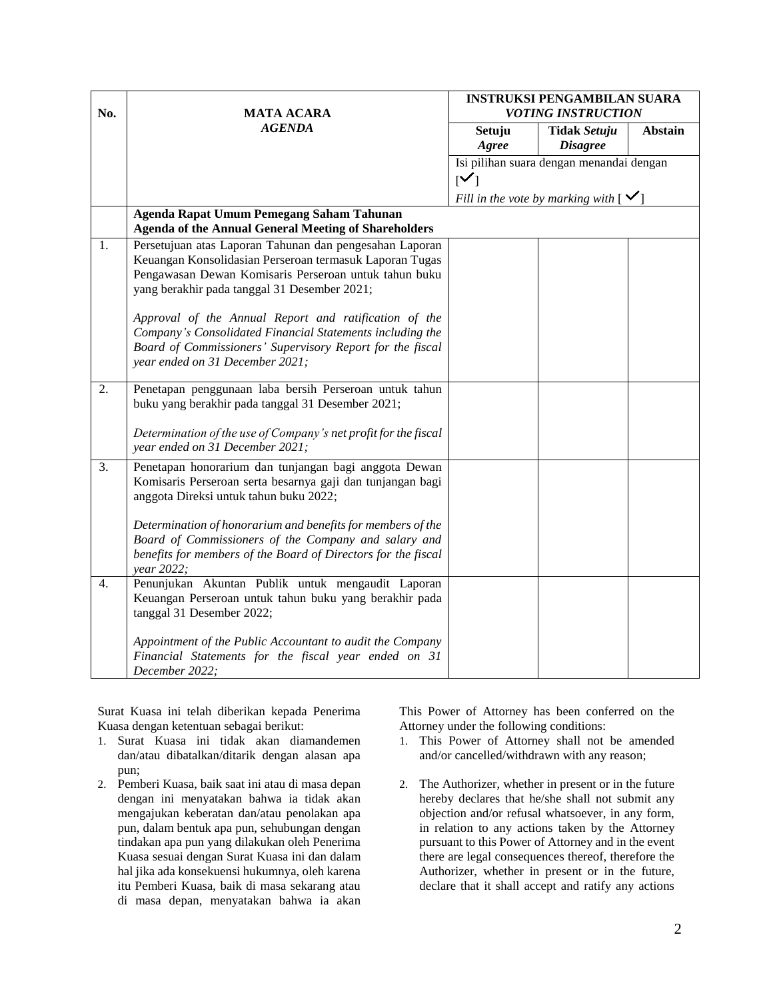| No.              | <b>MATA ACARA</b>                                                                                                                                                                                                           | <b>INSTRUKSI PENGAMBILAN SUARA</b><br><b>VOTING INSTRUCTION</b> |                                                 |                |
|------------------|-----------------------------------------------------------------------------------------------------------------------------------------------------------------------------------------------------------------------------|-----------------------------------------------------------------|-------------------------------------------------|----------------|
|                  | <b>AGENDA</b>                                                                                                                                                                                                               | Setuju<br>Agree                                                 | <b>Tidak Setuju</b><br><b>Disagree</b>          | <b>Abstain</b> |
|                  |                                                                                                                                                                                                                             |                                                                 | Isi pilihan suara dengan menandai dengan        |                |
|                  |                                                                                                                                                                                                                             | $\mathsf{N}$                                                    |                                                 |                |
|                  |                                                                                                                                                                                                                             |                                                                 | Fill in the vote by marking with $\mathfrak{v}$ |                |
|                  | Agenda Rapat Umum Pemegang Saham Tahunan<br><b>Agenda of the Annual General Meeting of Shareholders</b>                                                                                                                     |                                                                 |                                                 |                |
| 1.               | Persetujuan atas Laporan Tahunan dan pengesahan Laporan<br>Keuangan Konsolidasian Perseroan termasuk Laporan Tugas<br>Pengawasan Dewan Komisaris Perseroan untuk tahun buku<br>yang berakhir pada tanggal 31 Desember 2021; |                                                                 |                                                 |                |
|                  | Approval of the Annual Report and ratification of the<br>Company's Consolidated Financial Statements including the<br>Board of Commissioners' Supervisory Report for the fiscal<br>year ended on 31 December 2021;          |                                                                 |                                                 |                |
| 2.               | Penetapan penggunaan laba bersih Perseroan untuk tahun<br>buku yang berakhir pada tanggal 31 Desember 2021;                                                                                                                 |                                                                 |                                                 |                |
|                  | Determination of the use of Company's net profit for the fiscal<br>year ended on 31 December 2021;                                                                                                                          |                                                                 |                                                 |                |
| $\overline{3}$ . | Penetapan honorarium dan tunjangan bagi anggota Dewan<br>Komisaris Perseroan serta besarnya gaji dan tunjangan bagi<br>anggota Direksi untuk tahun buku 2022;                                                               |                                                                 |                                                 |                |
|                  | Determination of honorarium and benefits for members of the<br>Board of Commissioners of the Company and salary and<br>benefits for members of the Board of Directors for the fiscal<br>year 2022;                          |                                                                 |                                                 |                |
| 4.               | Penunjukan Akuntan Publik untuk mengaudit Laporan<br>Keuangan Perseroan untuk tahun buku yang berakhir pada<br>tanggal 31 Desember 2022;                                                                                    |                                                                 |                                                 |                |
|                  | Appointment of the Public Accountant to audit the Company<br>Financial Statements for the fiscal year ended on 31<br>December 2022;                                                                                         |                                                                 |                                                 |                |

Surat Kuasa ini telah diberikan kepada Penerima Kuasa dengan ketentuan sebagai berikut:

- 1. Surat Kuasa ini tidak akan diamandemen dan/atau dibatalkan/ditarik dengan alasan apa pun;
- 2. Pemberi Kuasa, baik saat ini atau di masa depan dengan ini menyatakan bahwa ia tidak akan mengajukan keberatan dan/atau penolakan apa pun, dalam bentuk apa pun, sehubungan dengan tindakan apa pun yang dilakukan oleh Penerima Kuasa sesuai dengan Surat Kuasa ini dan dalam hal jika ada konsekuensi hukumnya, oleh karena itu Pemberi Kuasa, baik di masa sekarang atau di masa depan, menyatakan bahwa ia akan

This Power of Attorney has been conferred on the Attorney under the following conditions:

- 1. This Power of Attorney shall not be amended and/or cancelled/withdrawn with any reason;
- 2. The Authorizer, whether in present or in the future hereby declares that he/she shall not submit any objection and/or refusal whatsoever, in any form, in relation to any actions taken by the Attorney pursuant to this Power of Attorney and in the event there are legal consequences thereof, therefore the Authorizer, whether in present or in the future, declare that it shall accept and ratify any actions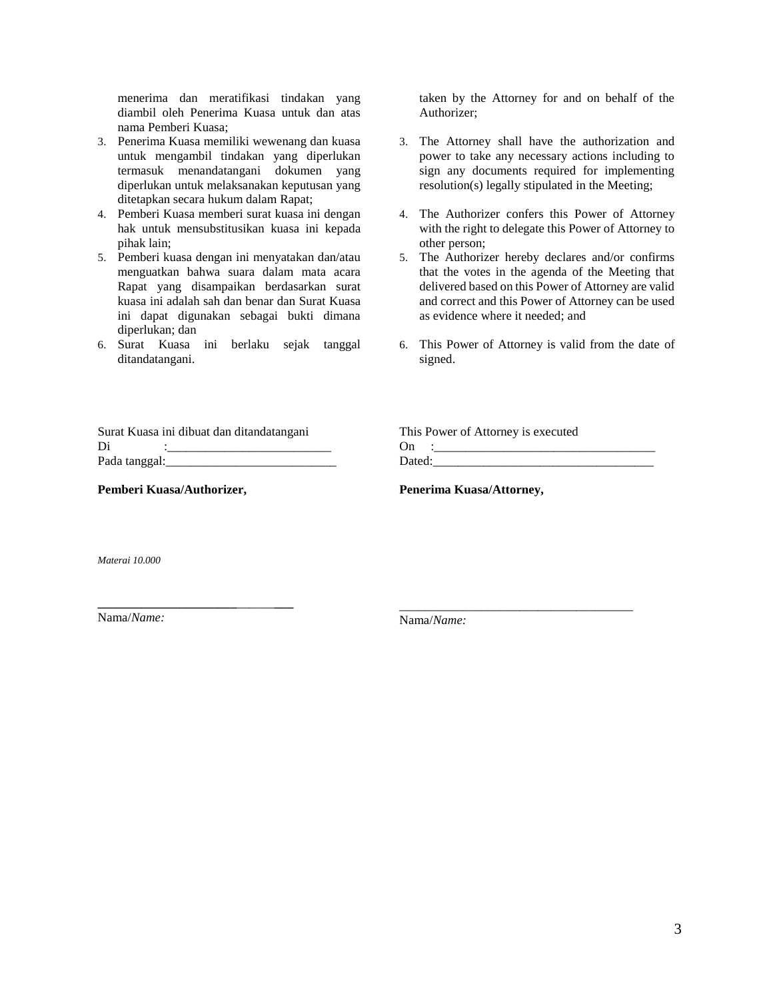menerima dan meratifikasi tindakan yang diambil oleh Penerima Kuasa untuk dan atas nama Pemberi Kuasa;

- 3. Penerima Kuasa memiliki wewenang dan kuasa untuk mengambil tindakan yang diperlukan termasuk menandatangani dokumen yang diperlukan untuk melaksanakan keputusan yang ditetapkan secara hukum dalam Rapat;
- 4. Pemberi Kuasa memberi surat kuasa ini dengan hak untuk mensubstitusikan kuasa ini kepada pihak lain;
- 5. Pemberi kuasa dengan ini menyatakan dan/atau menguatkan bahwa suara dalam mata acara Rapat yang disampaikan berdasarkan surat kuasa ini adalah sah dan benar dan Surat Kuasa ini dapat digunakan sebagai bukti dimana diperlukan; dan
- 6. Surat Kuasa ini berlaku sejak tanggal ditandatangani.

taken by the Attorney for and on behalf of the Authorizer;

- 3. The Attorney shall have the authorization and power to take any necessary actions including to sign any documents required for implementing resolution(s) legally stipulated in the Meeting;
- 4. The Authorizer confers this Power of Attorney with the right to delegate this Power of Attorney to other person;
- 5. The Authorizer hereby declares and/or confirms that the votes in the agenda of the Meeting that delivered based on this Power of Attorney are valid and correct and this Power of Attorney can be used as evidence where it needed; and
- 6. This Power of Attorney is valid from the date of signed.

|               | Surat Kuasa ini dibuat dan ditandatangani |
|---------------|-------------------------------------------|
| Di            |                                           |
| Pada tanggal: |                                           |

**Pemberi Kuasa/Authorizer,**

**\_\_\_\_\_\_\_\_\_\_\_\_\_\_\_\_\_\_\_\_\_\_**\_\_\_\_\_\_**\_\_\_**

|        | This Power of Attorney is executed |
|--------|------------------------------------|
| On     |                                    |
| Dated: |                                    |

\_\_\_\_\_\_\_\_\_\_\_\_\_\_\_\_\_\_\_\_\_\_\_\_\_\_\_\_\_\_\_\_\_\_\_\_\_

**Penerima Kuasa/Attorney,**

*Materai 10.000*

Nama/*Name:*

Nama/*Name:*